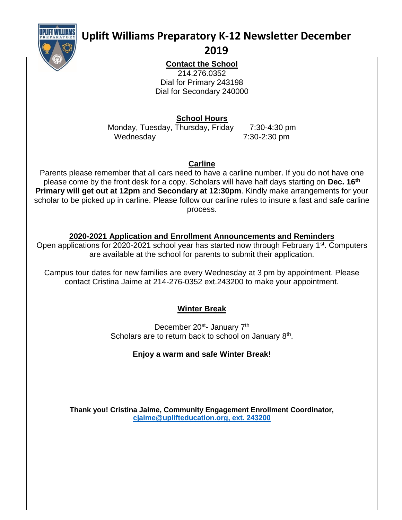

# **Uplift Williams Preparatory K-12 Newsletter December**

### **2019**

**Contact the School** 214.276.0352 Dial for Primary 243198 Dial for Secondary 240000

**School Hours**

Monday, Tuesday, Thursday, Friday 7:30-4:30 pm Wednesday 7:30-2:30 pm

**Carline**

Parents please remember that all cars need to have a carline number. If you do not have one please come by the front desk for a copy. Scholars will have half days starting on **Dec. 16th Primary will get out at 12pm** and **Secondary at 12:30pm**. Kindly make arrangements for your scholar to be picked up in carline. Please follow our carline rules to insure a fast and safe carline process.

# **2020-2021 Application and Enrollment Announcements and Reminders**

Open applications for 2020-2021 school year has started now through February 1<sup>st</sup>. Computers are available at the school for parents to submit their application.

Campus tour dates for new families are every Wednesday at 3 pm by appointment. Please contact Cristina Jaime at 214-276-0352 ext.243200 to make your appointment.

# **Winter Break**

December 20<sup>st</sup>- January 7<sup>th</sup> Scholars are to return back to school on January 8<sup>th</sup>.

# **Enjoy a warm and safe Winter Break!**

**Thank you! Cristina Jaime, Community Engagement Enrollment Coordinator, [cjaime@uplifteducation.org,](mailto:cjaime@uplifteducation.org) ext. 243200**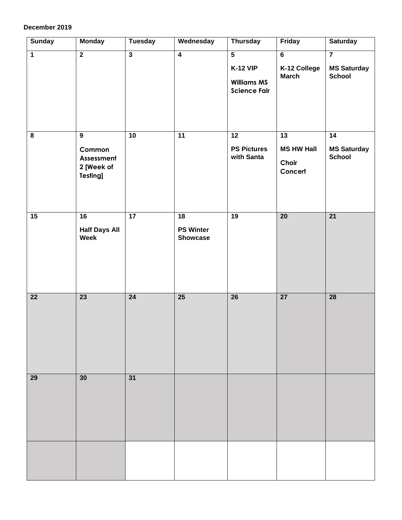#### **December 2019**

| <b>Sunday</b>           | <b>Monday</b>                                                           | <b>Tuesday</b>          | Wednesday                                 | <b>Thursday</b>                                                                         | Friday                                         | <b>Saturday</b>                                                |
|-------------------------|-------------------------------------------------------------------------|-------------------------|-------------------------------------------|-----------------------------------------------------------------------------------------|------------------------------------------------|----------------------------------------------------------------|
| $\overline{1}$          | $\overline{2}$                                                          | $\overline{\mathbf{3}}$ | $\overline{4}$                            | $\overline{\mathbf{5}}$<br><b>K-12 VIP</b><br><b>Williams MS</b><br><b>Science Fair</b> | $\overline{6}$<br>K-12 College<br><b>March</b> | $\overline{\mathbf{7}}$<br><b>MS Saturday</b><br><b>School</b> |
| $\overline{\mathbf{8}}$ | $\overline{9}$<br>Common<br>Assessment<br>2 [Week of<br><b>Testing]</b> | 10                      | 11                                        | $\overline{12}$<br><b>PS Pictures</b><br>with Santa                                     | 13<br><b>MS HW Hall</b><br>Choir<br>Concert    | $\overline{14}$<br><b>MS Saturday</b><br><b>School</b>         |
| 15                      | 16<br><b>Half Days All</b><br>Week                                      | 17                      | 18<br><b>PS Winter</b><br><b>Showcase</b> | 19                                                                                      | $\overline{20}$                                | $\overline{21}$                                                |
| $\overline{22}$         | 23                                                                      | 24                      | 25                                        | $\overline{26}$                                                                         | 27                                             | $\overline{28}$                                                |
| 29                      | 30                                                                      | 31                      |                                           |                                                                                         |                                                |                                                                |
|                         |                                                                         |                         |                                           |                                                                                         |                                                |                                                                |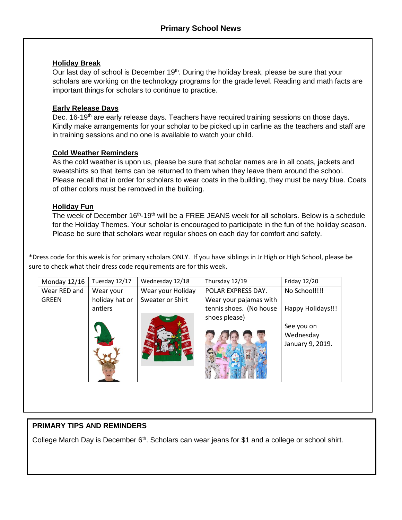### **Holiday Break**

Our last day of school is December 19<sup>th</sup>. During the holiday break, please be sure that your scholars are working on the technology programs for the grade level. Reading and math facts are important things for scholars to continue to practice.

### **Early Release Days**

Dec. 16-19<sup>th</sup> are early release days. Teachers have required training sessions on those days. Kindly make arrangements for your scholar to be picked up in carline as the teachers and staff are in training sessions and no one is available to watch your child.

### **Cold Weather Reminders**

As the cold weather is upon us, please be sure that scholar names are in all coats, jackets and sweatshirts so that items can be returned to them when they leave them around the school. Please recall that in order for scholars to wear coats in the building, they must be navy blue. Coats of other colors must be removed in the building.

### **Holiday Fun**

The week of December 16<sup>th</sup>-19<sup>th</sup> will be a FREE JEANS week for all scholars. Below is a schedule for the Holiday Themes. Your scholar is encouraged to participate in the fun of the holiday season. Please be sure that scholars wear regular shoes on each day for comfort and safety.

\*Dress code for this week is for primary scholars ONLY. If you have siblings in Jr High or High School, please be sure to check what their dress code requirements are for this week.

| Monday 12/16 | Tuesday 12/17  | Wednesday 12/18   | Thursday 12/19          | Friday 12/20      |
|--------------|----------------|-------------------|-------------------------|-------------------|
| Wear RED and | Wear your      | Wear your Holiday | POLAR EXPRESS DAY.      | No School!!!!     |
| <b>GREEN</b> | holiday hat or | Sweater or Shirt  | Wear your pajamas with  |                   |
|              | antlers        |                   | tennis shoes. (No house | Happy Holidays!!! |
|              |                |                   | shoes please)           |                   |
|              |                |                   |                         | See you on        |
|              |                |                   |                         | Wednesday         |
|              |                |                   |                         | January 9, 2019.  |
|              |                |                   |                         |                   |
|              |                |                   |                         |                   |
|              |                |                   |                         |                   |
|              |                |                   |                         |                   |

### **PRIMARY TIPS AND REMINDERS**

College March Day is December 6<sup>th</sup>. Scholars can wear jeans for \$1 and a college or school shirt.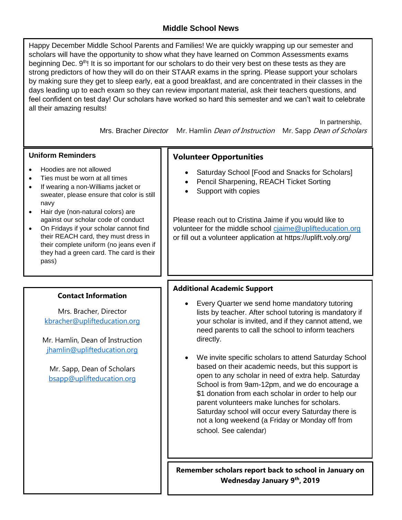### **Middle School News**

Happy December Middle School Parents and Families! We are quickly wrapping up our semester and scholars will have the opportunity to show what they have learned on Common Assessments exams beginning Dec. 9th! It is so important for our scholars to do their very best on these tests as they are strong predictors of how they will do on their STAAR exams in the spring. Please support your scholars by making sure they get to sleep early, eat a good breakfast, and are concentrated in their classes in the days leading up to each exam so they can review important material, ask their teachers questions, and feel confident on test day! Our scholars have worked so hard this semester and we can't wait to celebrate all their amazing results!

> In partnership, Mrs. Bracher *Director* Mr. Hamlin Dean of Instruction Mr. Sapp Dean of Scholars

### **Uniform Reminders**

- Hoodies are not allowed
- Ties must be worn at all times
- If wearing a non-Williams jacket or sweater, please ensure that color is still navy
- Hair dye (non-natural colors) are against our scholar code of conduct
- On Fridays if your scholar cannot find their REACH card, they must dress in their complete uniform (no jeans even if they had a green card. The card is their pass)

#### **Contact Information**

Mrs. Bracher, Director [kbracher@uplifteducation.org](mailto:kbracher@uplifteducation.org)

Mr. Hamlin, Dean of Instruction [jhamlin@uplifteducation.org](mailto:jhamlin@uplifteducation.org)

Mr. Sapp, Dean of Scholars [bsapp@uplifteducation.org](mailto:bsapp@uplifteducation.org)

### **Volunteer Opportunities**

- Saturday School [Food and Snacks for Scholars]
- Pencil Sharpening, REACH Ticket Sorting
- Support with copies

Please reach out to Cristina Jaime if you would like to volunteer for the middle school [cjaime@uplifteducation.org](mailto:cjaime@uplifteducation.org) or fill out a volunteer application at https://uplift.voly.org/

### **Additional Academic Support**

- Every Quarter we send home mandatory tutoring lists by teacher. After school tutoring is mandatory if your scholar is invited, and if they cannot attend, we need parents to call the school to inform teachers directly.
- We invite specific scholars to attend Saturday School based on their academic needs, but this support is open to any scholar in need of extra help. Saturday School is from 9am-12pm, and we do encourage a \$1 donation from each scholar in order to help our parent volunteers make lunches for scholars. Saturday school will occur every Saturday there is not a long weekend (a Friday or Monday off from school. See calendar)

**Remember scholars report back to school in January on Wednesday January 9th, 2019**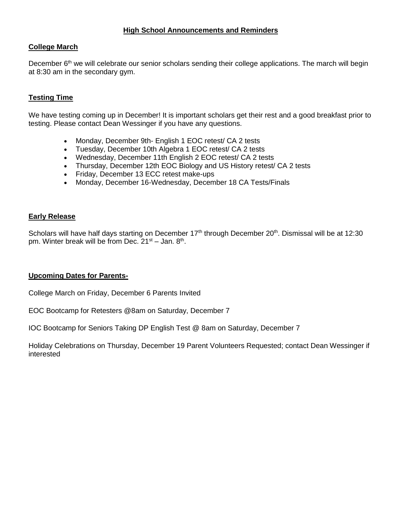#### **College March**

December 6<sup>th</sup> we will celebrate our senior scholars sending their college applications. The march will begin at 8:30 am in the secondary gym.

### **Testing Time**

We have testing coming up in December! It is important scholars get their rest and a good breakfast prior to testing. Please contact Dean Wessinger if you have any questions.

- Monday, December 9th- English 1 EOC retest/ CA 2 tests
- Tuesday, December 10th Algebra 1 EOC retest/ CA 2 tests
- Wednesday, December 11th English 2 EOC retest/ CA 2 tests
- Thursday, December 12th EOC Biology and US History retest/ CA 2 tests
- Friday, December 13 ECC retest make-ups
- Monday, December 16-Wednesday, December 18 CA Tests/Finals

#### **Early Release**

Scholars will have half days starting on December  $17<sup>th</sup>$  through December  $20<sup>th</sup>$ . Dismissal will be at 12:30 pm. Winter break will be from Dec. 21<sup>st</sup> – Jan. 8<sup>th</sup>.

#### **Upcoming Dates for Parents-**

College March on Friday, December 6 Parents Invited

EOC Bootcamp for Retesters @8am on Saturday, December 7

IOC Bootcamp for Seniors Taking DP English Test @ 8am on Saturday, December 7

Holiday Celebrations on Thursday, December 19 Parent Volunteers Requested; contact Dean Wessinger if interested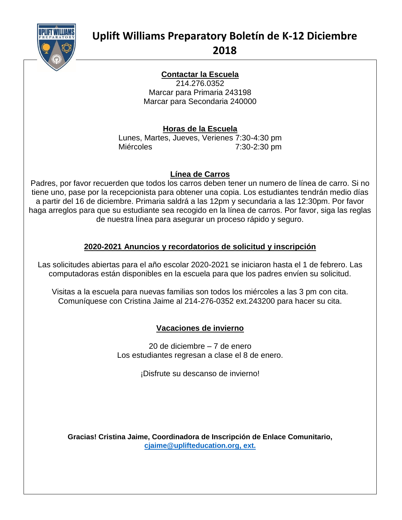

# **Uplift Williams Preparatory Boletín de K-12 Diciembre 2018**

#### **Contactar la Escuela** 214.276.0352

Marcar para Primaria 243198 Marcar para Secondaria 240000

## **Horas de la Escuela**

Lunes, Martes, Jueves, Verienes 7:30-4:30 pm Miércoles 7:30-2:30 pm

### **Línea de Carros**

Padres, por favor recuerden que todos los carros deben tener un numero de línea de carro. Si no tiene uno, pase por la recepcionista para obtener una copia. Los estudiantes tendrán medio días a partir del 16 de diciembre. Primaria saldrá a las 12pm y secundaria a las 12:30pm. Por favor haga arreglos para que su estudiante sea recogido en la línea de carros. Por favor, siga las reglas de nuestra línea para asegurar un proceso rápido y seguro.

# **2020-2021 Anuncios y recordatorios de solicitud y inscripción**

Las solicitudes abiertas para el año escolar 2020-2021 se iniciaron hasta el 1 de febrero. Las computadoras están disponibles en la escuela para que los padres envíen su solicitud.

Visitas a la escuela para nuevas familias son todos los miércoles a las 3 pm con cita. Comuníquese con Cristina Jaime al 214-276-0352 ext.243200 para hacer su cita.

# **Vacaciones de invierno**

20 de diciembre – 7 de enero Los estudiantes regresan a clase el 8 de enero.

¡Disfrute su descanso de invierno!

**Gracias! Cristina Jaime, Coordinadora de Inscripción de Enlace Comunitario, [cjaime@uplifteducation.org,](mailto:cjaime@uplifteducation.org) ext.**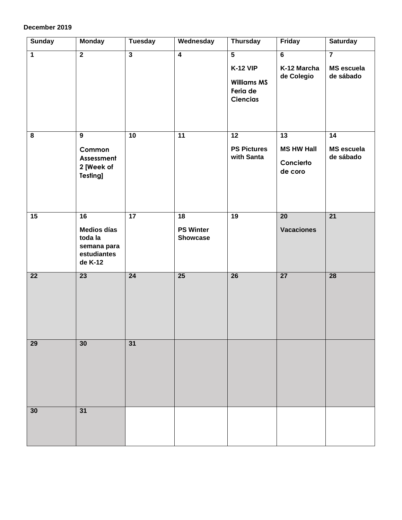#### **December 2019**

| <b>Sunday</b>   | <b>Monday</b>                                                                             | <b>Tuesday</b>          | Wednesday                                              | <b>Thursday</b>                                                                        | Friday                                          | <b>Saturday</b>                                  |
|-----------------|-------------------------------------------------------------------------------------------|-------------------------|--------------------------------------------------------|----------------------------------------------------------------------------------------|-------------------------------------------------|--------------------------------------------------|
| $\overline{1}$  | $\overline{2}$                                                                            | $\overline{\mathbf{3}}$ | $\overline{4}$                                         | $\overline{5}$<br><b>K-12 VIP</b><br><b>Williams MS</b><br>Feria de<br><b>Ciencias</b> | $6\overline{6}$<br>K-12 Marcha<br>de Colegio    | $\overline{7}$<br><b>MS</b> escuela<br>de sábado |
| 8               | $\overline{9}$<br>Common<br>Assessment<br>2 [Week of<br>Testing]                          | $\overline{10}$         | $\overline{11}$                                        | 12<br><b>PS Pictures</b><br>with Santa                                                 | 13<br><b>MS HW Hall</b><br>Concierto<br>de coro | 14<br><b>MS</b> escuela<br>de sábado             |
| $\overline{15}$ | $\overline{16}$<br><b>Medios días</b><br>toda la<br>semana para<br>estudiantes<br>de K-12 | 17                      | $\overline{18}$<br><b>PS Winter</b><br><b>Showcase</b> | 19                                                                                     | $\overline{20}$<br><b>Vacaciones</b>            | $\overline{21}$                                  |
| $\overline{22}$ | $\overline{23}$                                                                           | $\overline{24}$         | $\overline{25}$                                        | $\overline{26}$                                                                        | $\overline{27}$                                 | $\overline{28}$                                  |
| 29              | 30                                                                                        | $\overline{31}$         |                                                        |                                                                                        |                                                 |                                                  |
| 30              | 31                                                                                        |                         |                                                        |                                                                                        |                                                 |                                                  |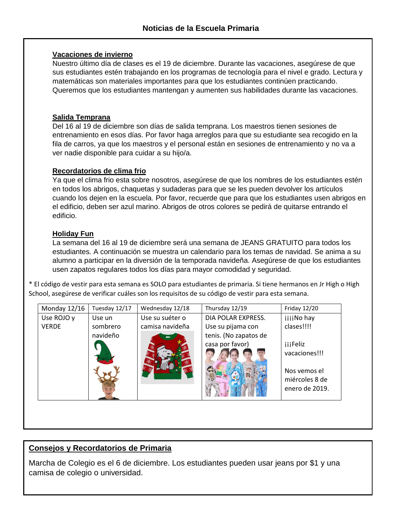#### **Vacaciones de invierno**

Nuestro último día de clases es el 19 de diciembre. Durante las vacaciones, asegúrese de que sus estudiantes estén trabajando en los programas de tecnología para el nivel e grado. Lectura y matemáticas son materiales importantes para que los estudiantes continúen practicando. Queremos que los estudiantes mantengan y aumenten sus habilidades durante las vacaciones.

### **Salida Temprana**

Del 16 al 19 de diciembre son días de salida temprana. Los maestros tienen sesiones de entrenamiento en esos días. Por favor haga arreglos para que su estudiante sea recogido en la fila de carros, ya que los maestros y el personal están en sesiones de entrenamiento y no va a ver nadie disponible para cuidar a su hijo/a.

### **Recordatorios de clima frio**

Ya que el clima frio esta sobre nosotros, asegúrese de que los nombres de los estudiantes estén en todos los abrigos, chaquetas y sudaderas para que se les pueden devolver los artículos cuando los dejen en la escuela. Por favor, recuerde que para que los estudiantes usen abrigos en el edificio, deben ser azul marino. Abrigos de otros colores se pedirá de quitarse entrando el edificio.

### **Holiday Fun**

La semana del 16 al 19 de diciembre será una semana de JEANS GRATUITO para todos los estudiantes. A continuación se muestra un calendario para los temas de navidad. Se anima a su alumno a participar en la diversión de la temporada navideña. Asegúrese de que los estudiantes usen zapatos regulares todos los días para mayor comodidad y seguridad.

\* El código de vestir para esta semana es SOLO para estudiantes de primaria. Si tiene hermanos en Jr High o High School, asegúrese de verificar cuáles son los requisitos de su código de vestir para esta semana.

| Monday 12/16 | Tuesday 12/17 | Wednesday 12/18 | Thursday 12/19        | Friday 12/20                                     |
|--------------|---------------|-----------------|-----------------------|--------------------------------------------------|
| Use ROJO y   | Use un        | Use su suéter o | DIA POLAR EXPRESS.    | iiiiNo hay                                       |
| <b>VERDE</b> | sombrero      | camisa navideña | Use su pijama con     | clases!!!!                                       |
|              | navideño      |                 | tenis. (No zapatos de |                                                  |
|              |               |                 | casa por favor)       | <i>iii</i> Feliz                                 |
|              |               |                 |                       | vacaciones!!!                                    |
|              |               |                 |                       | Nos vemos el<br>miércoles 8 de<br>enero de 2019. |
|              |               |                 |                       |                                                  |

### **Consejos y Recordatorios de Primaria**

Marcha de Colegio es el 6 de diciembre. Los estudiantes pueden usar jeans por \$1 y una camisa de colegio o universidad.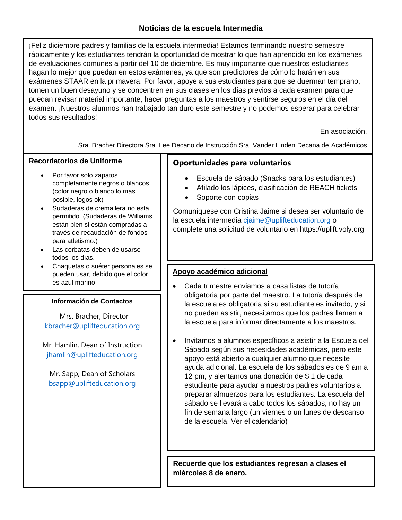### **Noticias de la escuela Intermedia**

¡Feliz diciembre padres y familias de la escuela intermedia! Estamos terminando nuestro semestre rápidamente y los estudiantes tendrán la oportunidad de mostrar lo que han aprendido en los exámenes de evaluaciones comunes a partir del 10 de diciembre. Es muy importante que nuestros estudiantes hagan lo mejor que puedan en estos exámenes, ya que son predictores de cómo lo harán en sus exámenes STAAR en la primavera. Por favor, apoye a sus estudiantes para que se duerman temprano, tomen un buen desayuno y se concentren en sus clases en los días previos a cada examen para que puedan revisar material importante, hacer preguntas a los maestros y sentirse seguros en el día del examen. ¡Nuestros alumnos han trabajado tan duro este semestre y no podemos esperar para celebrar todos sus resultados!

En asociación,

Sra. Bracher Directora Sra. Lee Decano de Instrucción Sra. Vander Linden Decana de Académicos

### **Recordatorios de Uniforme**

- Por favor solo zapatos completamente negros o blancos (color negro o blanco lo más posible, logos ok)
- Sudaderas de cremallera no está permitido. (Sudaderas de Williams están bien si están compradas a través de recaudación de fondos para atletismo.)
- Las corbatas deben de usarse todos los días.
- Chaquetas o suéter personales se pueden usar, debido que el color es azul marino

#### **Información de Contactos**

 Mrs. Bracher, Director [kbracher@uplifteducation.org](mailto:kbracher@uplifteducation.org)

Mr. Hamlin, Dean of Instruction [jhamlin@uplifteducation.org](mailto:jhamlin@uplifteducation.org)

Mr. Sapp, Dean of Scholars [bsapp@uplifteducation.org](mailto:bsapp@uplifteducation.org)

### **Oportunidades para voluntarios**

- Escuela de sábado (Snacks para los estudiantes)
- Afilado los lápices, clasificación de REACH tickets
- Soporte con copias

Comuníquese con Cristina Jaime si desea ser voluntario de la escuela intermedia [cjaime@uplifteducation.org](mailto:cjaime@uplifteducation.org) o complete una solicitud de voluntario en https://uplift.voly.org

### **Apoyo académico adicional**

- Cada trimestre enviamos a casa listas de tutoría obligatoria por parte del maestro. La tutoría después de la escuela es obligatoria si su estudiante es invitado, y si no pueden asistir, necesitamos que los padres llamen a la escuela para informar directamente a los maestros.
- Invitamos a alumnos específicos a asistir a la Escuela del Sábado según sus necesidades académicas, pero este apoyo está abierto a cualquier alumno que necesite ayuda adicional. La escuela de los sábados es de 9 am a 12 pm, y alentamos una donación de \$ 1 de cada estudiante para ayudar a nuestros padres voluntarios a preparar almuerzos para los estudiantes. La escuela del sábado se llevará a cabo todos los sábados, no hay un fin de semana largo (un viernes o un lunes de descanso de la escuela. Ver el calendario)

**Recuerde que los estudiantes regresan a clases el miércoles 8 de enero.**